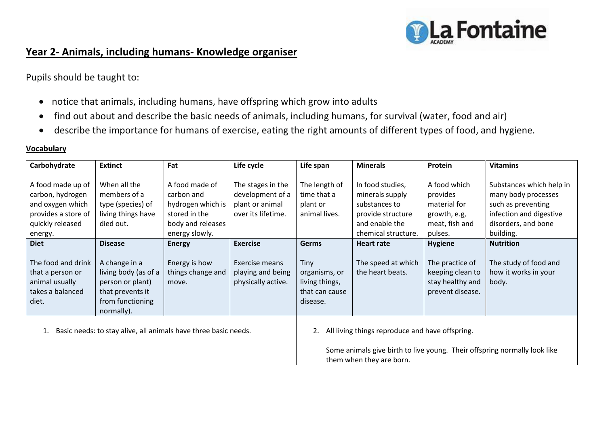

## **Year 2- Animals, including humans- Knowledge organiser**

Pupils should be taught to:

- notice that animals, including humans, have offspring which grow into adults
- find out about and describe the basic needs of animals, including humans, for survival (water, food and air)
- describe the importance for humans of exercise, eating the right amounts of different types of food, and hygiene.

## **Vocabulary**

| Carbohydrate                                                                                                    | <b>Extinct</b>                                                                                                  | Fat                                                                                                       | Life cycle                                                                     | Life span                                                                                             | <b>Minerals</b>                                                                                                    | Protein                                                                               | <b>Vitamins</b>                                                                                                                      |
|-----------------------------------------------------------------------------------------------------------------|-----------------------------------------------------------------------------------------------------------------|-----------------------------------------------------------------------------------------------------------|--------------------------------------------------------------------------------|-------------------------------------------------------------------------------------------------------|--------------------------------------------------------------------------------------------------------------------|---------------------------------------------------------------------------------------|--------------------------------------------------------------------------------------------------------------------------------------|
| A food made up of<br>carbon, hydrogen<br>and oxygen which<br>provides a store of<br>quickly released<br>energy. | When all the<br>members of a<br>type (species) of<br>living things have<br>died out.                            | A food made of<br>carbon and<br>hydrogen which is<br>stored in the<br>body and releases<br>energy slowly. | The stages in the<br>development of a<br>plant or animal<br>over its lifetime. | The length of<br>time that a<br>plant or<br>animal lives.                                             | In food studies,<br>minerals supply<br>substances to<br>provide structure<br>and enable the<br>chemical structure. | A food which<br>provides<br>material for<br>growth, e.g,<br>meat, fish and<br>pulses. | Substances which help in<br>many body processes<br>such as preventing<br>infection and digestive<br>disorders, and bone<br>building. |
| <b>Diet</b>                                                                                                     | <b>Disease</b>                                                                                                  | <b>Energy</b>                                                                                             | <b>Exercise</b>                                                                | <b>Germs</b>                                                                                          | <b>Heart rate</b>                                                                                                  | <b>Hygiene</b>                                                                        | <b>Nutrition</b>                                                                                                                     |
| The food and drink<br>that a person or<br>animal usually<br>takes a balanced<br>diet.                           | A change in a<br>living body (as of a<br>person or plant)<br>that prevents it<br>from functioning<br>normally). | Energy is how<br>things change and<br>move.                                                               | Exercise means<br>playing and being<br>physically active.                      | Tiny<br>organisms, or<br>living things,<br>that can cause<br>disease.                                 | The speed at which<br>the heart beats.                                                                             | The practice of<br>keeping clean to<br>stay healthy and<br>prevent disease.           | The study of food and<br>how it works in your<br>body.                                                                               |
| Basic needs: to stay alive, all animals have three basic needs.                                                 |                                                                                                                 |                                                                                                           |                                                                                | All living things reproduce and have offspring.                                                       |                                                                                                                    |                                                                                       |                                                                                                                                      |
|                                                                                                                 |                                                                                                                 |                                                                                                           |                                                                                | Some animals give birth to live young. Their offspring normally look like<br>them when they are born. |                                                                                                                    |                                                                                       |                                                                                                                                      |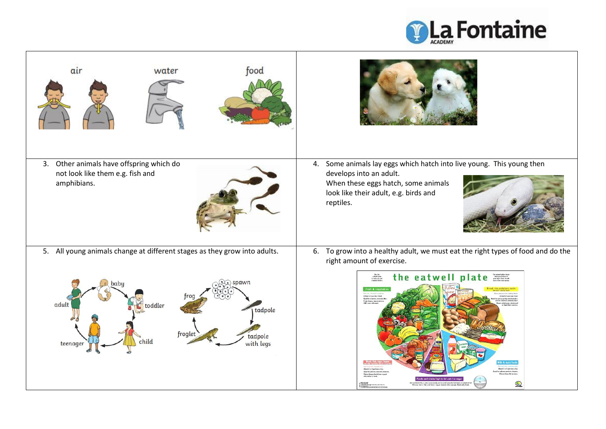